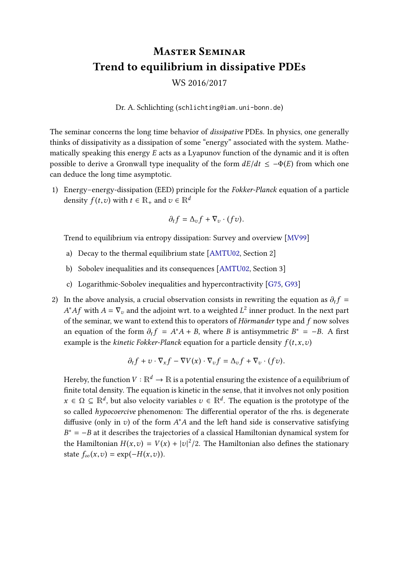## Master Seminar Trend to equilibrium in dissipative PDEs

WS 2016/2017

Dr. A. Schlichting (schlichting@iam.uni-bonn.de)

The seminar concerns the long time behavior of dissipative PDEs. In physics, one generally thinks of dissipativity as a dissipation of some "energy" associated with the system. Mathematically speaking this energy  $E$  acts as a Lyapunov function of the dynamic and it is often possible to derive a Gronwall type inequality of the form  $dE/dt \le -\Phi(E)$  from which one can deduce the long time asymptotic.

1) Energy–energy-dissipation (EED) principle for the Fokker-Planck equation of a particle density  $f(t, v)$  with  $t \in \mathbb{R}_+$  and  $v \in \mathbb{R}^d$ 

$$
\partial_t f = \Delta_{v} f + \nabla_{v} \cdot (fv).
$$

Trend to equilibrium via entropy dissipation: Survey and overview [\[MV99\]](#page-2-0)

- a) Decay to the thermal equilibrium state [\[AMTU02,](#page-2-1) Section 2]
- b) Sobolev inequalities and its consequences [\[AMTU02,](#page-2-1) Section 3]
- c) Logarithmic-Sobolev inequalities and hypercontractivity [\[G75,](#page-2-2) [G93\]](#page-2-3)
- 2) In the above analysis, a crucial observation consists in rewriting the equation as  $\partial_t f =$ of the seminar, we want to extend this to operators of Hörmander type and f now solves \* $Af$  with  $A = \nabla_v$  and the adjoint wrt. to a weighted  $L^2$  inner product. In the next part  $f$  the seminary we want to extend this to energtors of Härmander type and f new selves an equation of the form  $\partial_t f = A^*A + B$ , where B is antisymmetric  $B^* = -B$ . A first example is the kinetic Fekker Blanck equation for a partial adequation  $f(t, \alpha, \alpha)$ . example is the *kinetic Fokker-Planck* equation for a particle density  $f(t, x, v)$

$$
\partial_t f + v \cdot \nabla_x f - \nabla V(x) \cdot \nabla_v f = \Delta_v f + \nabla_v \cdot (fv).
$$

Hereby, the function  $V : \mathbb{R}^d \to \mathbb{R}$  is a potential ensuring the existence of a equilibrium of finite total density. The equation is kinetic in the sense, that it involves not only position  $x \in \Omega \subseteq \mathbb{R}^d$ , but also velocity variables  $v \in \mathbb{R}^d$ . The equation is the prototype of the sequeled hypergraphs pharmapapp. The differential energths of the sig deconomics so called  $hypocoercive phenomenon:$  The differential operator of the rhs. is degenerate diffusive (only in v) of the form  $A^*A$  and the left hand side is conservative satisfying  $P^* = P$  at it describes the trainatories of a classical Hamiltonian dynamical system for the Hamiltonian  $H(x, v) = V(x) + |v|^2/2$ . The Hamiltonian also defines the stationary  $B^* = -B$  at it describes the trajectories of a classical Hamiltonian dynamical system for state  $f_{\infty}(x,v) = \exp(-H(x,v)).$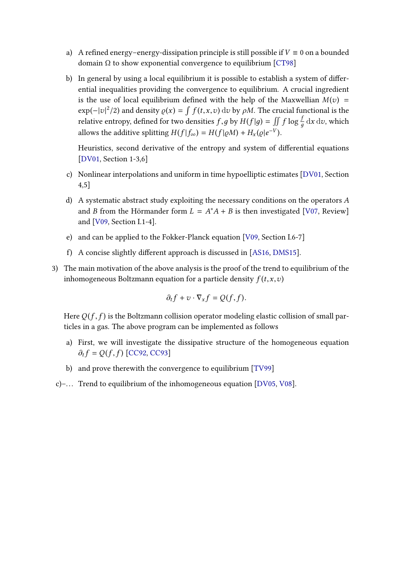- a) A refined energy–energy-dissipation principle is still possible if  $V \equiv 0$  on a bounded domain  $Ω$  to show exponential convergence to equilibrium [\[CT98\]](#page-2-4)
- b) In general by using a local equilibrium it is possible to establish a system of differential inequalities providing the convergence to equilibrium. A crucial ingredient is the use of local equilibrium defined with the help of the Maxwellian  $M(v)$  =  $\exp(-|v|^2/2)$  and density  $\varrho(x) = \int f(t, x, v) dv$  by  $\rho M$ . The crucial functional is the relative optropy defined for two densities f, a by  $U(f|x) = \int \int f \log \int f dx dx$  which relative entropy, defined for two densities  $f, g$  by  $H(f|g) = \iint f \log \frac{f}{g} dx dv$ , which д allows the additive splitting  $H(f|f_{\infty}) = H(f|\varrho M) + H_x(\varrho|e^{-V}).$

Heuristics, second derivative of the entropy and system of differential equations [\[DV01,](#page-2-5) Section 1-3,6]

- c) Nonlinear interpolations and uniform in time hypoelliptic estimates [\[DV01,](#page-2-5) Section 4,5]
- d) A systematic abstract study exploiting the necessary conditions on the operators A and *B* from the Hörmander form  $L = A^*A + B$  is then investigated [\[V07,](#page-2-6) Review] and [\[V09,](#page-2-7) Section I.1-4].
- e) and can be applied to the Fokker-Planck equation [\[V09,](#page-2-7) Section I.6-7]
- f) A concise slightly different approach is discussed in  $[AS16, DMS15]$  $[AS16, DMS15]$  $[AS16, DMS15]$ .
- 3) The main motivation of the above analysis is the proof of the trend to equilibrium of the inhomogeneous Boltzmann equation for a particle density  $f(t, x, v)$

$$
\partial_t f + v \cdot \nabla_x f = Q(f, f).
$$

Here  $Q(f, f)$  is the Boltzmann collision operator modeling elastic collision of small particles in a gas. The above program can be implemented as follows

- a) First, we will investigate the dissipative structure of the homogeneous equation  $\partial_t f = Q(f, f)$  [\[CC92,](#page-2-10) [CC93\]](#page-2-11)
- b) and prove therewith the convergence to equilibrium [\[TV99\]](#page-2-12)
- c)-... Trend to equilibrium of the inhomogeneous equation [\[DV05,](#page-2-13) [V08\]](#page-2-14).